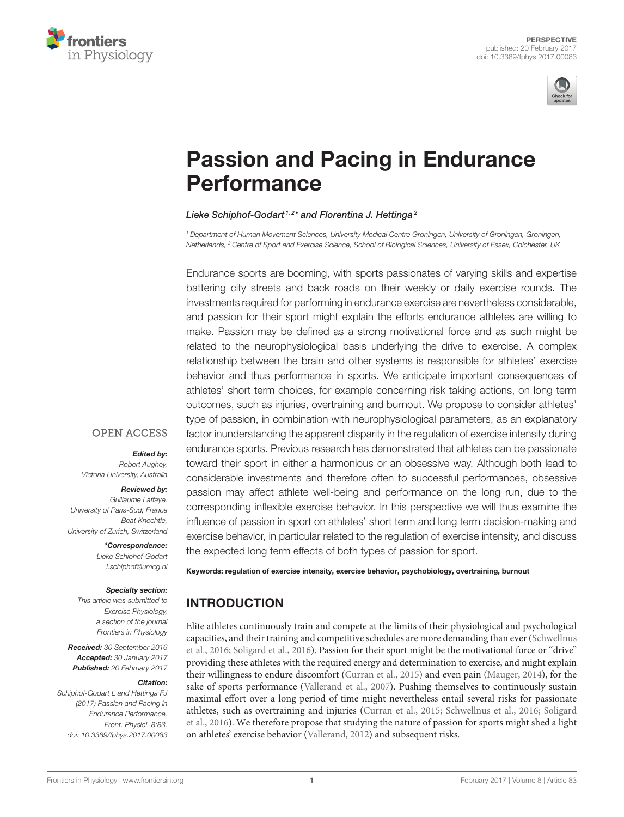



# [Passion and Pacing in Endurance](http://journal.frontiersin.org/article/10.3389/fphys.2017.00083/abstract) Performance

#### [Lieke Schiphof-Godart](http://loop.frontiersin.org/people/314924/overview) 1,2\* and [Florentina J. Hettinga](http://loop.frontiersin.org/people/285919/overview)<sup>2</sup>

*<sup>1</sup> Department of Human Movement Sciences, University Medical Centre Groningen, University of Groningen, Groningen, Netherlands, <sup>2</sup> Centre of Sport and Exercise Science, School of Biological Sciences, University of Essex, Colchester, UK*

Endurance sports are booming, with sports passionates of varying skills and expertise battering city streets and back roads on their weekly or daily exercise rounds. The investments required for performing in endurance exercise are nevertheless considerable, and passion for their sport might explain the efforts endurance athletes are willing to make. Passion may be defined as a strong motivational force and as such might be related to the neurophysiological basis underlying the drive to exercise. A complex relationship between the brain and other systems is responsible for athletes' exercise behavior and thus performance in sports. We anticipate important consequences of athletes' short term choices, for example concerning risk taking actions, on long term outcomes, such as injuries, overtraining and burnout. We propose to consider athletes' type of passion, in combination with neurophysiological parameters, as an explanatory factor inunderstanding the apparent disparity in the regulation of exercise intensity during endurance sports. Previous research has demonstrated that athletes can be passionate toward their sport in either a harmonious or an obsessive way. Although both lead to considerable investments and therefore often to successful performances, obsessive passion may affect athlete well-being and performance on the long run, due to the corresponding inflexible exercise behavior. In this perspective we will thus examine the influence of passion in sport on athletes' short term and long term decision-making and exercise behavior, in particular related to the regulation of exercise intensity, and discuss the expected long term effects of both types of passion for sport.

Keywords: regulation of exercise intensity, exercise behavior, psychobiology, overtraining, burnout

# INTRODUCTION

Elite athletes continuously train and compete at the limits of their physiological and psychological capacities, and their training and competitive schedules are more demanding than ever (Schwellnus et al., [2016;](#page-4-0) [Soligard et al., 2016\)](#page-5-0). Passion for their sport might be the motivational force or "drive" providing these athletes with the required energy and determination to exercise, and might explain their willingness to endure discomfort [\(Curran et al., 2015\)](#page-4-1) and even pain [\(Mauger, 2014\)](#page-4-2), for the sake of sports performance [\(Vallerand et al., 2007\)](#page-5-1). Pushing themselves to continuously sustain maximal effort over a long period of time might nevertheless entail several risks for passionate athletes, such as overtraining and injuries [\(Curran et al., 2015;](#page-4-1) [Schwellnus et al., 2016;](#page-4-0) Soligard et al., [2016\)](#page-5-0). We therefore propose that studying the nature of passion for sports might shed a light on athletes' exercise behavior [\(Vallerand, 2012\)](#page-5-2) and subsequent risks.

### **OPEN ACCESS**

#### Edited by:

*Robert Aughey, Victoria University, Australia*

#### Reviewed by:

*Guillaume Laffaye, University of Paris-Sud, France Beat Knechtle, University of Zurich, Switzerland*

> \*Correspondence: *Lieke Schiphof-Godart [l.schiphof@umcg.nl](mailto:l.schiphof@umcg.nl)*

#### Specialty section:

*This article was submitted to Exercise Physiology, a section of the journal Frontiers in Physiology*

Received: *30 September 2016* Accepted: *30 January 2017* Published: *20 February 2017*

#### Citation:

*Schiphof-Godart L and Hettinga FJ (2017) Passion and Pacing in Endurance Performance. Front. Physiol. 8:83. doi: [10.3389/fphys.2017.00083](https://doi.org/10.3389/fphys.2017.00083)*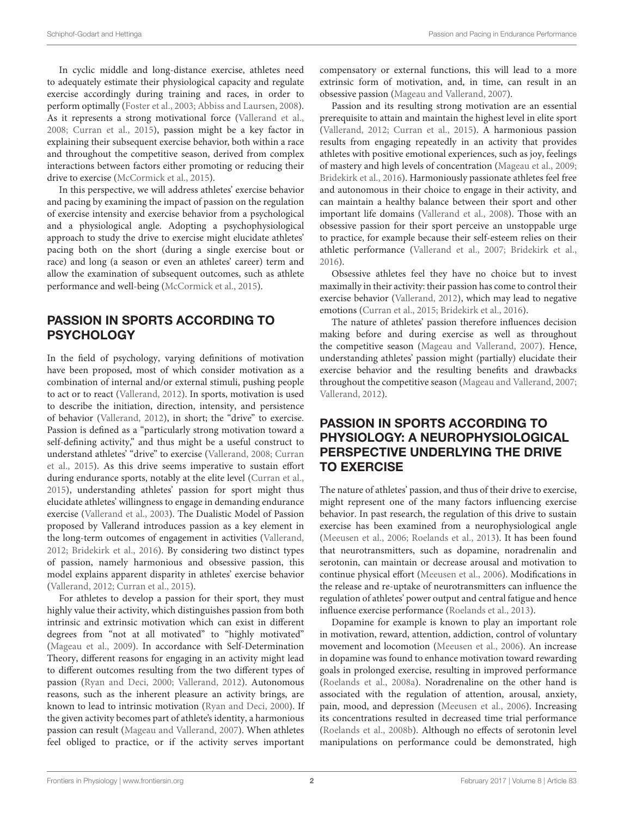In cyclic middle and long-distance exercise, athletes need to adequately estimate their physiological capacity and regulate exercise accordingly during training and races, in order to perform optimally [\(Foster et al., 2003;](#page-4-3) [Abbiss and Laursen, 2008\)](#page-4-4). As it represents a strong motivational force [\(Vallerand et al.,](#page-5-3) [2008;](#page-5-3) [Curran et al., 2015\)](#page-4-1), passion might be a key factor in explaining their subsequent exercise behavior, both within a race and throughout the competitive season, derived from complex interactions between factors either promoting or reducing their drive to exercise [\(McCormick et al., 2015\)](#page-4-5).

In this perspective, we will address athletes' exercise behavior and pacing by examining the impact of passion on the regulation of exercise intensity and exercise behavior from a psychological and a physiological angle. Adopting a psychophysiological approach to study the drive to exercise might elucidate athletes' pacing both on the short (during a single exercise bout or race) and long (a season or even an athletes' career) term and allow the examination of subsequent outcomes, such as athlete performance and well-being [\(McCormick et al., 2015\)](#page-4-5).

## PASSION IN SPORTS ACCORDING TO **PSYCHOLOGY**

In the field of psychology, varying definitions of motivation have been proposed, most of which consider motivation as a combination of internal and/or external stimuli, pushing people to act or to react [\(Vallerand, 2012\)](#page-5-2). In sports, motivation is used to describe the initiation, direction, intensity, and persistence of behavior [\(Vallerand, 2012\)](#page-5-2), in short; the "drive" to exercise. Passion is defined as a "particularly strong motivation toward a self-defining activity," and thus might be a useful construct to understand athletes' "drive" to exercise [\(Vallerand, 2008;](#page-5-4) Curran et al., [2015\)](#page-4-1). As this drive seems imperative to sustain effort during endurance sports, notably at the elite level [\(Curran et al.,](#page-4-1) [2015\)](#page-4-1), understanding athletes' passion for sport might thus elucidate athletes' willingness to engage in demanding endurance exercise [\(Vallerand et al., 2003\)](#page-5-5). The Dualistic Model of Passion proposed by Vallerand introduces passion as a key element in the long-term outcomes of engagement in activities [\(Vallerand,](#page-5-2) [2012;](#page-5-2) [Bridekirk et al., 2016\)](#page-4-6). By considering two distinct types of passion, namely harmonious and obsessive passion, this model explains apparent disparity in athletes' exercise behavior [\(Vallerand, 2012;](#page-5-2) [Curran et al., 2015\)](#page-4-1).

For athletes to develop a passion for their sport, they must highly value their activity, which distinguishes passion from both intrinsic and extrinsic motivation which can exist in different degrees from "not at all motivated" to "highly motivated" [\(Mageau et al., 2009\)](#page-4-7). In accordance with Self-Determination Theory, different reasons for engaging in an activity might lead to different outcomes resulting from the two different types of passion [\(Ryan and Deci, 2000;](#page-4-8) [Vallerand, 2012\)](#page-5-2). Autonomous reasons, such as the inherent pleasure an activity brings, are known to lead to intrinsic motivation [\(Ryan and Deci, 2000\)](#page-4-8). If the given activity becomes part of athlete's identity, a harmonious passion can result [\(Mageau and Vallerand, 2007\)](#page-4-9). When athletes feel obliged to practice, or if the activity serves important compensatory or external functions, this will lead to a more extrinsic form of motivation, and, in time, can result in an obsessive passion [\(Mageau and Vallerand, 2007\)](#page-4-9).

Passion and its resulting strong motivation are an essential prerequisite to attain and maintain the highest level in elite sport [\(Vallerand, 2012;](#page-5-2) [Curran et al., 2015\)](#page-4-1). A harmonious passion results from engaging repeatedly in an activity that provides athletes with positive emotional experiences, such as joy, feelings of mastery and high levels of concentration [\(Mageau et al., 2009;](#page-4-7) [Bridekirk et al., 2016\)](#page-4-6). Harmoniously passionate athletes feel free and autonomous in their choice to engage in their activity, and can maintain a healthy balance between their sport and other important life domains [\(Vallerand et al., 2008\)](#page-5-3). Those with an obsessive passion for their sport perceive an unstoppable urge to practice, for example because their self-esteem relies on their athletic performance [\(Vallerand et al., 2007;](#page-5-1) [Bridekirk et al.,](#page-4-6) [2016\)](#page-4-6).

Obsessive athletes feel they have no choice but to invest maximally in their activity: their passion has come to control their exercise behavior [\(Vallerand, 2012\)](#page-5-2), which may lead to negative emotions [\(Curran et al., 2015;](#page-4-1) [Bridekirk et al., 2016\)](#page-4-6).

The nature of athletes' passion therefore influences decision making before and during exercise as well as throughout the competitive season [\(Mageau and Vallerand, 2007\)](#page-4-9). Hence, understanding athletes' passion might (partially) elucidate their exercise behavior and the resulting benefits and drawbacks throughout the competitive season [\(Mageau and Vallerand, 2007;](#page-4-9) [Vallerand, 2012\)](#page-5-2).

## PASSION IN SPORTS ACCORDING TO PHYSIOLOGY: A NEUROPHYSIOLOGICAL PERSPECTIVE UNDERLYING THE DRIVE TO EXERCISE

The nature of athletes' passion, and thus of their drive to exercise, might represent one of the many factors influencing exercise behavior. In past research, the regulation of this drive to sustain exercise has been examined from a neurophysiological angle [\(Meeusen et al., 2006;](#page-4-10) [Roelands et al., 2013\)](#page-4-11). It has been found that neurotransmitters, such as dopamine, noradrenalin and serotonin, can maintain or decrease arousal and motivation to continue physical effort [\(Meeusen et al., 2006\)](#page-4-10). Modifications in the release and re-uptake of neurotransmitters can influence the regulation of athletes' power output and central fatigue and hence influence exercise performance [\(Roelands et al., 2013\)](#page-4-11).

Dopamine for example is known to play an important role in motivation, reward, attention, addiction, control of voluntary movement and locomotion [\(Meeusen et al., 2006\)](#page-4-10). An increase in dopamine was found to enhance motivation toward rewarding goals in prolonged exercise, resulting in improved performance [\(Roelands et al., 2008a\)](#page-4-12). Noradrenaline on the other hand is associated with the regulation of attention, arousal, anxiety, pain, mood, and depression [\(Meeusen et al., 2006\)](#page-4-10). Increasing its concentrations resulted in decreased time trial performance [\(Roelands et al., 2008b\)](#page-4-13). Although no effects of serotonin level manipulations on performance could be demonstrated, high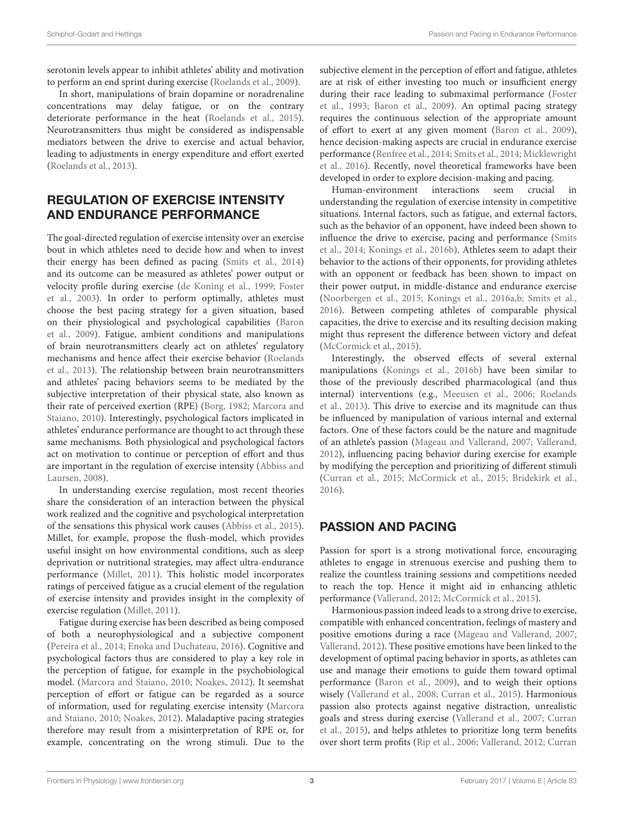serotonin levels appear to inhibit athletes' ability and motivation to perform an end sprint during exercise [\(Roelands et al., 2009\)](#page-4-14).

In short, manipulations of brain dopamine or noradrenaline concentrations may delay fatigue, or on the contrary deteriorate performance in the heat [\(Roelands et al., 2015\)](#page-4-15). Neurotransmitters thus might be considered as indispensable mediators between the drive to exercise and actual behavior, leading to adjustments in energy expenditure and effort exerted [\(Roelands et al., 2013\)](#page-4-11).

## REGULATION OF EXERCISE INTENSITY AND ENDURANCE PERFORMANCE

The goal-directed regulation of exercise intensity over an exercise bout in which athletes need to decide how and when to invest their energy has been defined as pacing [\(Smits et al., 2014\)](#page-5-6) and its outcome can be measured as athletes' power output or velocity profile during exercise [\(de Koning et al., 1999;](#page-4-16) Foster et al., [2003\)](#page-4-3). In order to perform optimally, athletes must choose the best pacing strategy for a given situation, based on their physiological and psychological capabilities (Baron et al., [2009\)](#page-4-17). Fatigue, ambient conditions and manipulations of brain neurotransmitters clearly act on athletes' regulatory mechanisms and hence affect their exercise behavior (Roelands et al., [2013\)](#page-4-11). The relationship between brain neurotransmitters and athletes' pacing behaviors seems to be mediated by the subjective interpretation of their physical state, also known as their rate of perceived exertion (RPE) [\(Borg, 1982;](#page-4-18) Marcora and Staiano, [2010\)](#page-4-19). Interestingly, psychological factors implicated in athletes' endurance performance are thought to act through these same mechanisms. Both physiological and psychological factors act on motivation to continue or perception of effort and thus are important in the regulation of exercise intensity (Abbiss and Laursen, [2008\)](#page-4-4).

In understanding exercise regulation, most recent theories share the consideration of an interaction between the physical work realized and the cognitive and psychological interpretation of the sensations this physical work causes [\(Abbiss et al., 2015\)](#page-4-20). Millet, for example, propose the flush-model, which provides useful insight on how environmental conditions, such as sleep deprivation or nutritional strategies, may affect ultra-endurance performance [\(Millet, 2011\)](#page-4-21). This holistic model incorporates ratings of perceived fatigue as a crucial element of the regulation of exercise intensity and provides insight in the complexity of exercise regulation [\(Millet, 2011\)](#page-4-21).

Fatigue during exercise has been described as being composed of both a neurophysiological and a subjective component [\(Pereira et al., 2014;](#page-4-22) [Enoka and Duchateau, 2016\)](#page-4-23). Cognitive and psychological factors thus are considered to play a key role in the perception of fatigue, for example in the psychobiological model. [\(Marcora and Staiano, 2010;](#page-4-19) [Noakes, 2012\)](#page-4-24). It seemshat perception of effort or fatigue can be regarded as a source of information, used for regulating exercise intensity (Marcora and Staiano, [2010;](#page-4-19) [Noakes, 2012\)](#page-4-24). Maladaptive pacing strategies therefore may result from a misinterpretation of RPE or, for example, concentrating on the wrong stimuli. Due to the subjective element in the perception of effort and fatigue, athletes are at risk of either investing too much or insufficient energy during their race leading to submaximal performance (Foster et al., [1993;](#page-4-25) [Baron et al., 2009\)](#page-4-17). An optimal pacing strategy requires the continuous selection of the appropriate amount of effort to exert at any given moment [\(Baron et al., 2009\)](#page-4-17), hence decision-making aspects are crucial in endurance exercise performance [\(Renfree et al., 2014;](#page-4-26) [Smits et al., 2014;](#page-5-6) Micklewright et al., [2016\)](#page-4-27). Recently, novel theoretical frameworks have been developed in order to explore decision-making and pacing.

Human-environment interactions seem crucial understanding the regulation of exercise intensity in competitive situations. Internal factors, such as fatigue, and external factors, such as the behavior of an opponent, have indeed been shown to influence the drive to exercise, pacing and performance (Smits et al., [2014;](#page-5-6) [Konings et al., 2016b\)](#page-4-28). Athletes seem to adapt their behavior to the actions of their opponents, for providing athletes with an opponent or feedback has been shown to impact on their power output, in middle-distance and endurance exercise [\(Noorbergen et al., 2015;](#page-4-29) [Konings et al., 2016a](#page-4-30)[,b;](#page-4-28) [Smits et al.,](#page-5-7) [2016\)](#page-5-7). Between competing athletes of comparable physical capacities, the drive to exercise and its resulting decision making might thus represent the difference between victory and defeat [\(McCormick et al., 2015\)](#page-4-5).

Interestingly, the observed effects of several external manipulations [\(Konings et al., 2016b\)](#page-4-28) have been similar to those of the previously described pharmacological (and thus internal) interventions (e.g., [Meeusen et al., 2006;](#page-4-10) Roelands et al., [2013\)](#page-4-11). This drive to exercise and its magnitude can thus be influenced by manipulation of various internal and external factors. One of these factors could be the nature and magnitude of an athlete's passion [\(Mageau and Vallerand, 2007;](#page-4-9) [Vallerand,](#page-5-2) [2012\)](#page-5-2), influencing pacing behavior during exercise for example by modifying the perception and prioritizing of different stimuli [\(Curran et al., 2015;](#page-4-1) [McCormick et al., 2015;](#page-4-5) [Bridekirk et al.,](#page-4-6) [2016\)](#page-4-6).

# PASSION AND PACING

Passion for sport is a strong motivational force, encouraging athletes to engage in strenuous exercise and pushing them to realize the countless training sessions and competitions needed to reach the top. Hence it might aid in enhancing athletic performance [\(Vallerand, 2012;](#page-5-2) [McCormick et al., 2015\)](#page-4-5).

Harmonious passion indeed leads to a strong drive to exercise, compatible with enhanced concentration, feelings of mastery and positive emotions during a race [\(Mageau and Vallerand, 2007;](#page-4-9) [Vallerand, 2012\)](#page-5-2). These positive emotions have been linked to the development of optimal pacing behavior in sports, as athletes can use and manage their emotions to guide them toward optimal performance [\(Baron et al., 2009\)](#page-4-17), and to weigh their options wisely [\(Vallerand et al., 2008;](#page-5-3) [Curran et al., 2015\)](#page-4-1). Harmonious passion also protects against negative distraction, unrealistic goals and stress during exercise [\(Vallerand et al., 2007;](#page-5-1) Curran et al., [2015\)](#page-4-1), and helps athletes to prioritize long term benefits over short term profits [\(Rip et al., 2006;](#page-4-31) [Vallerand, 2012;](#page-5-2) Curran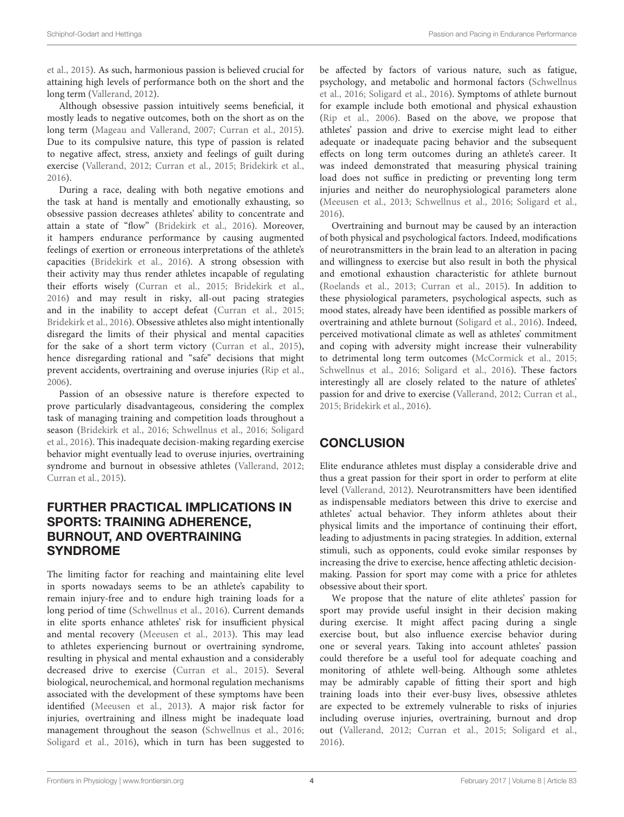et al., [2015\)](#page-4-1). As such, harmonious passion is believed crucial for attaining high levels of performance both on the short and the long term [\(Vallerand, 2012\)](#page-5-2).

Although obsessive passion intuitively seems beneficial, it mostly leads to negative outcomes, both on the short as on the long term [\(Mageau and Vallerand, 2007;](#page-4-9) [Curran et al., 2015\)](#page-4-1). Due to its compulsive nature, this type of passion is related to negative affect, stress, anxiety and feelings of guilt during exercise [\(Vallerand, 2012;](#page-5-2) [Curran et al., 2015;](#page-4-1) [Bridekirk et al.,](#page-4-6) [2016\)](#page-4-6).

During a race, dealing with both negative emotions and the task at hand is mentally and emotionally exhausting, so obsessive passion decreases athletes' ability to concentrate and attain a state of "flow" [\(Bridekirk et al., 2016\)](#page-4-6). Moreover, it hampers endurance performance by causing augmented feelings of exertion or erroneous interpretations of the athlete's capacities [\(Bridekirk et al., 2016\)](#page-4-6). A strong obsession with their activity may thus render athletes incapable of regulating their efforts wisely [\(Curran et al., 2015;](#page-4-1) [Bridekirk et al.,](#page-4-6) [2016\)](#page-4-6) and may result in risky, all-out pacing strategies and in the inability to accept defeat [\(Curran et al., 2015;](#page-4-1) [Bridekirk et al., 2016\)](#page-4-6). Obsessive athletes also might intentionally disregard the limits of their physical and mental capacities for the sake of a short term victory [\(Curran et al., 2015\)](#page-4-1), hence disregarding rational and "safe" decisions that might prevent accidents, overtraining and overuse injuries [\(Rip et al.,](#page-4-31) [2006\)](#page-4-31).

Passion of an obsessive nature is therefore expected to prove particularly disadvantageous, considering the complex task of managing training and competition loads throughout a season [\(Bridekirk et al., 2016;](#page-4-6) [Schwellnus et al., 2016;](#page-4-0) Soligard et al., [2016\)](#page-5-0). This inadequate decision-making regarding exercise behavior might eventually lead to overuse injuries, overtraining syndrome and burnout in obsessive athletes [\(Vallerand, 2012;](#page-5-2) [Curran et al., 2015\)](#page-4-1).

## FURTHER PRACTICAL IMPLICATIONS IN SPORTS: TRAINING ADHERENCE, BURNOUT, AND OVERTRAINING SYNDROME

The limiting factor for reaching and maintaining elite level in sports nowadays seems to be an athlete's capability to remain injury-free and to endure high training loads for a long period of time [\(Schwellnus et al., 2016\)](#page-4-0). Current demands in elite sports enhance athletes' risk for insufficient physical and mental recovery [\(Meeusen et al., 2013\)](#page-4-32). This may lead to athletes experiencing burnout or overtraining syndrome, resulting in physical and mental exhaustion and a considerably decreased drive to exercise [\(Curran et al., 2015\)](#page-4-1). Several biological, neurochemical, and hormonal regulation mechanisms associated with the development of these symptoms have been identified [\(Meeusen et al., 2013\)](#page-4-32). A major risk factor for injuries, overtraining and illness might be inadequate load management throughout the season [\(Schwellnus et al., 2016;](#page-4-0) [Soligard et al., 2016\)](#page-5-0), which in turn has been suggested to be affected by factors of various nature, such as fatigue, psychology, and metabolic and hormonal factors (Schwellnus et al., [2016;](#page-4-0) [Soligard et al., 2016\)](#page-5-0). Symptoms of athlete burnout for example include both emotional and physical exhaustion [\(Rip et al., 2006\)](#page-4-31). Based on the above, we propose that athletes' passion and drive to exercise might lead to either adequate or inadequate pacing behavior and the subsequent effects on long term outcomes during an athlete's career. It was indeed demonstrated that measuring physical training load does not suffice in predicting or preventing long term injuries and neither do neurophysiological parameters alone [\(Meeusen et al., 2013;](#page-4-32) [Schwellnus et al., 2016;](#page-4-0) [Soligard et al.,](#page-5-0) [2016\)](#page-5-0).

Overtraining and burnout may be caused by an interaction of both physical and psychological factors. Indeed, modifications of neurotransmitters in the brain lead to an alteration in pacing and willingness to exercise but also result in both the physical and emotional exhaustion characteristic for athlete burnout [\(Roelands et al., 2013;](#page-4-11) [Curran et al., 2015\)](#page-4-1). In addition to these physiological parameters, psychological aspects, such as mood states, already have been identified as possible markers of overtraining and athlete burnout [\(Soligard et al., 2016\)](#page-5-0). Indeed, perceived motivational climate as well as athletes' commitment and coping with adversity might increase their vulnerability to detrimental long term outcomes [\(McCormick et al., 2015;](#page-4-5) [Schwellnus et al., 2016;](#page-4-0) [Soligard et al., 2016\)](#page-5-0). These factors interestingly all are closely related to the nature of athletes' passion for and drive to exercise [\(Vallerand, 2012;](#page-5-2) [Curran et al.,](#page-4-1) [2015;](#page-4-1) [Bridekirk et al., 2016\)](#page-4-6).

# **CONCLUSION**

Elite endurance athletes must display a considerable drive and thus a great passion for their sport in order to perform at elite level [\(Vallerand, 2012\)](#page-5-2). Neurotransmitters have been identified as indispensable mediators between this drive to exercise and athletes' actual behavior. They inform athletes about their physical limits and the importance of continuing their effort, leading to adjustments in pacing strategies. In addition, external stimuli, such as opponents, could evoke similar responses by increasing the drive to exercise, hence affecting athletic decisionmaking. Passion for sport may come with a price for athletes obsessive about their sport.

We propose that the nature of elite athletes' passion for sport may provide useful insight in their decision making during exercise. It might affect pacing during a single exercise bout, but also influence exercise behavior during one or several years. Taking into account athletes' passion could therefore be a useful tool for adequate coaching and monitoring of athlete well-being. Although some athletes may be admirably capable of fitting their sport and high training loads into their ever-busy lives, obsessive athletes are expected to be extremely vulnerable to risks of injuries including overuse injuries, overtraining, burnout and drop out [\(Vallerand, 2012;](#page-5-2) [Curran et al., 2015;](#page-4-1) [Soligard et al.,](#page-5-0) [2016\)](#page-5-0).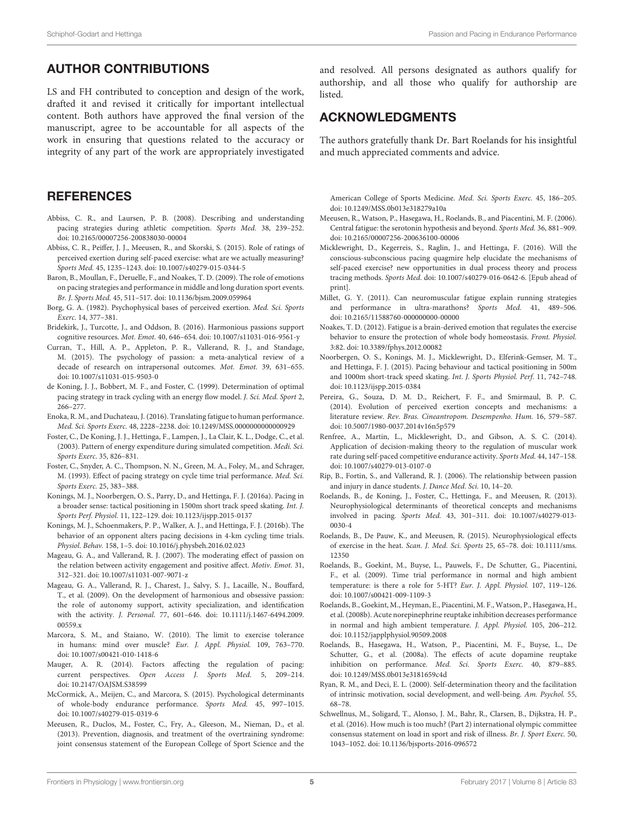### AUTHOR CONTRIBUTIONS

LS and FH contributed to conception and design of the work, drafted it and revised it critically for important intellectual content. Both authors have approved the final version of the manuscript, agree to be accountable for all aspects of the work in ensuring that questions related to the accuracy or integrity of any part of the work are appropriately investigated

#### **REFERENCES**

- <span id="page-4-4"></span>Abbiss, C. R., and Laursen, P. B. (2008). Describing and understanding pacing strategies during athletic competition. Sports Med. 38, 239–252. doi: [10.2165/00007256-200838030-00004](https://doi.org/10.2165/00007256-200838030-00004)
- <span id="page-4-20"></span>Abbiss, C. R., Peiffer, J. J., Meeusen, R., and Skorski, S. (2015). Role of ratings of perceived exertion during self-paced exercise: what are we actually measuring? Sports Med. 45, 1235–1243. doi: [10.1007/s40279-015-0344-5](https://doi.org/10.1007/s40279-015-0344-5)
- <span id="page-4-17"></span>Baron, B., Moullan, F., Deruelle, F., and Noakes, T. D. (2009). The role of emotions on pacing strategies and performance in middle and long duration sport events. Br. J. Sports Med. 45, 511–517. doi: [10.1136/bjsm.2009.059964](https://doi.org/10.1136/bjsm.2009.059964)
- <span id="page-4-18"></span>Borg, G. A. (1982). Psychophysical bases of perceived exertion. Med. Sci. Sports Exerc. 14, 377–381.
- <span id="page-4-6"></span>Bridekirk, J., Turcotte, J., and Oddson, B. (2016). Harmonious passions support cognitive resources. Mot. Emot. 40, 646–654. doi: [10.1007/s11031-016-9561-y](https://doi.org/10.1007/s11031-016-9561-y)
- <span id="page-4-1"></span>Curran, T., Hill, A. P., Appleton, P. R., Vallerand, R. J., and Standage, M. (2015). The psychology of passion: a meta-analytical review of a decade of research on intrapersonal outcomes. Mot. Emot. 39, 631–655. doi: [10.1007/s11031-015-9503-0](https://doi.org/10.1007/s11031-015-9503-0)
- <span id="page-4-16"></span>de Koning, J. J., Bobbert, M. F., and Foster, C. (1999). Determination of optimal pacing strategy in track cycling with an energy flow model. J. Sci. Med. Sport 2, 266–277.
- <span id="page-4-23"></span>Enoka, R. M., and Duchateau, J. (2016). Translating fatigue to human performance. Med. Sci. Sports Exerc. 48, 2228–2238. doi: [10.1249/MSS.0000000000000929](https://doi.org/10.1249/MSS.0000000000000929)
- <span id="page-4-3"></span>Foster, C., De Koning, J. J., Hettinga, F., Lampen, J., La Clair, K. L., Dodge, C., et al. (2003). Pattern of energy expenditure during simulated competition. Medi. Sci. Sports Exerc. 35, 826–831.
- <span id="page-4-25"></span>Foster, C., Snyder, A. C., Thompson, N. N., Green, M. A., Foley, M., and Schrager, M. (1993). Effect of pacing strategy on cycle time trial performance. Med. Sci. Sports Exerc. 25, 383–388.
- <span id="page-4-30"></span>Konings, M. J., Noorbergen, O. S., Parry, D., and Hettinga, F. J. (2016a). Pacing in a broader sense: tactical positioning in 1500m short track speed skating. Int. J. Sports Perf. Physiol. 11, 122–129. doi: [10.1123/ijspp.2015-0137](https://doi.org/10.1123/ijspp.2015-0137)
- <span id="page-4-28"></span>Konings, M. J., Schoenmakers, P. P., Walker, A. J., and Hettinga, F. J. (2016b). The behavior of an opponent alters pacing decisions in 4-km cycling time trials. Physiol. Behav. 158, 1–5. doi: [10.1016/j.physbeh.2016.02.023](https://doi.org/10.1016/j.physbeh.2016.02.023)
- <span id="page-4-9"></span>Mageau, G. A., and Vallerand, R. J. (2007). The moderating effect of passion on the relation between activity engagement and positive affect. Motiv. Emot. 31, 312–321. doi: [10.1007/s11031-007-9071-z](https://doi.org/10.1007/s11031-007-9071-z)
- <span id="page-4-7"></span>Mageau, G. A., Vallerand, R. J., Charest, J., Salvy, S. J., Lacaille, N., Bouffard, T., et al. (2009). On the development of harmonious and obsessive passion: the role of autonomy support, activity specialization, and identification with the activity. J. Personal. [77, 601–646. doi: 10.1111/j.1467-6494.2009.](https://doi.org/10.1111/j.1467-6494.2009.00559.x) 00559.x
- <span id="page-4-19"></span>Marcora, S. M., and Staiano, W. (2010). The limit to exercise tolerance in humans: mind over muscle? Eur. J. Appl. Physiol. 109, 763–770. doi: [10.1007/s00421-010-1418-6](https://doi.org/10.1007/s00421-010-1418-6)
- <span id="page-4-2"></span>Mauger, A. R. (2014). Factors affecting the regulation of pacing: current perspectives. Open Access J. Sports Med. 5, 209–214. doi: [10.2147/OAJSM.S38599](https://doi.org/10.2147/OAJSM.S38599)
- <span id="page-4-5"></span>McCormick, A., Meijen, C., and Marcora, S. (2015). Psychological determinants of whole-body endurance performance. Sports Med. 45, 997–1015. doi: [10.1007/s40279-015-0319-6](https://doi.org/10.1007/s40279-015-0319-6)
- <span id="page-4-32"></span>Meeusen, R., Duclos, M., Foster, C., Fry, A., Gleeson, M., Nieman, D., et al. (2013). Prevention, diagnosis, and treatment of the overtraining syndrome: joint consensus statement of the European College of Sport Science and the

and resolved. All persons designated as authors qualify for authorship, and all those who qualify for authorship are listed.

### ACKNOWLEDGMENTS

The authors gratefully thank Dr. Bart Roelands for his insightful and much appreciated comments and advice.

American College of Sports Medicine. Med. Sci. Sports Exerc. 45, 186–205. doi: [10.1249/MSS.0b013e318279a10a](https://doi.org/10.1249/MSS.0b013e318279a10a)

- <span id="page-4-10"></span>Meeusen, R., Watson, P., Hasegawa, H., Roelands, B., and Piacentini, M. F. (2006). Central fatigue: the serotonin hypothesis and beyond. Sports Med. 36, 881–909. doi: [10.2165/00007256-200636100-00006](https://doi.org/10.2165/00007256-200636100-00006)
- <span id="page-4-27"></span>Micklewright, D., Kegerreis, S., Raglin, J., and Hettinga, F. (2016). Will the conscious-subconscious pacing quagmire help elucidate the mechanisms of self-paced exercise? new opportunities in dual process theory and process tracing methods. Sports Med. doi: [10.1007/s40279-016-0642-6.](https://doi.org/10.1007/s40279-016-0642-6) [Epub ahead of print].
- <span id="page-4-21"></span>Millet, G. Y. (2011). Can neuromuscular fatigue explain running strategies and performance in ultra-marathons? Sports Med. 41, 489–506. doi: [10.2165/11588760-000000000-00000](https://doi.org/10.2165/11588760-000000000-00000)
- <span id="page-4-24"></span>Noakes, T. D. (2012). Fatigue is a brain-derived emotion that regulates the exercise behavior to ensure the protection of whole body homeostasis. Front. Physiol. 3:82. doi: [10.3389/fphys.2012.00082](https://doi.org/10.3389/fphys.2012.00082)
- <span id="page-4-29"></span>Noorbergen, O. S., Konings, M. J., Micklewright, D., Elferink-Gemser, M. T., and Hettinga, F. J. (2015). Pacing behaviour and tactical positioning in 500m and 1000m short-track speed skating. Int. J. Sports Physiol. Perf. 11, 742–748. doi: [10.1123/ijspp.2015-0384](https://doi.org/10.1123/ijspp.2015-0384)
- <span id="page-4-22"></span>Pereira, G., Souza, D. M. D., Reichert, F. F., and Smirmaul, B. P. C. (2014). Evolution of perceived exertion concepts and mechanisms: a literature review. Rev. Bras. Cineantropom. Desempenho. Hum. 16, 579–587. doi: [10.5007/1980-0037.2014v16n5p579](https://doi.org/10.5007/1980-0037.2014v16n5p579)
- <span id="page-4-26"></span>Renfree, A., Martin, L., Micklewright, D., and Gibson, A. S. C. (2014). Application of decision-making theory to the regulation of muscular work rate during self-paced competitive endurance activity. Sports Med. 44, 147–158. doi: [10.1007/s40279-013-0107-0](https://doi.org/10.1007/s40279-013-0107-0)
- <span id="page-4-31"></span>Rip, B., Fortin, S., and Vallerand, R. J. (2006). The relationship between passion and injury in dance students. J. Dance Med. Sci. 10, 14–20.
- <span id="page-4-11"></span>Roelands, B., de Koning, J., Foster, C., Hettinga, F., and Meeusen, R. (2013). Neurophysiological determinants of theoretical concepts and mechanisms involved in pacing. Sports Med. [43, 301–311. doi: 10.1007/s40279-013-](https://doi.org/10.1007/s40279-013-0030-4) 0030-4
- <span id="page-4-15"></span>Roelands, B., De Pauw, K., and Meeusen, R. (2015). Neurophysiological effects of exercise in the heat. Scan. J. Med. Sci. Sports [25, 65–78. doi: 10.1111/sms.](https://doi.org/10.1111/sms.12350) 12350
- <span id="page-4-14"></span>Roelands, B., Goekint, M., Buyse, L., Pauwels, F., De Schutter, G., Piacentini, F., et al. (2009). Time trial performance in normal and high ambient temperature: is there a role for 5-HT? Eur. J. Appl. Physiol. 107, 119–126. doi: [10.1007/s00421-009-1109-3](https://doi.org/10.1007/s00421-009-1109-3)
- <span id="page-4-13"></span>Roelands, B., Goekint, M., Heyman, E., Piacentini, M. F., Watson, P., Hasegawa, H., et al. (2008b). Acute norepinephrine reuptake inhibition decreases performance in normal and high ambient temperature. J. Appl. Physiol. 105, 206–212. doi: [10.1152/japplphysiol.90509.2008](https://doi.org/10.1152/japplphysiol.90509.2008)
- <span id="page-4-12"></span>Roelands, B., Hasegawa, H., Watson, P., Piacentini, M. F., Buyse, L., De Schutter, G., et al. (2008a). The effects of acute dopamine reuptake inhibition on performance. Med. Sci. Sports Exerc. 40, 879-885. doi: [10.1249/MSS.0b013e3181659c4d](https://doi.org/10.1249/MSS.0b013e3181659c4d)
- <span id="page-4-8"></span>Ryan, R. M., and Deci, E. L. (2000). Self-determination theory and the facilitation of intrinsic motivation, social development, and well-being. Am. Psychol. 55, 68–78.
- <span id="page-4-0"></span>Schwellnus, M., Soligard, T., Alonso, J. M., Bahr, R., Clarsen, B., Dijkstra, H. P., et al. (2016). How much is too much? (Part 2) international olympic committee consensus statement on load in sport and risk of illness. Br. J. Sport Exerc. 50, 1043–1052. doi: [10.1136/bjsports-2016-096572](https://doi.org/10.1136/bjsports-2016-096572)